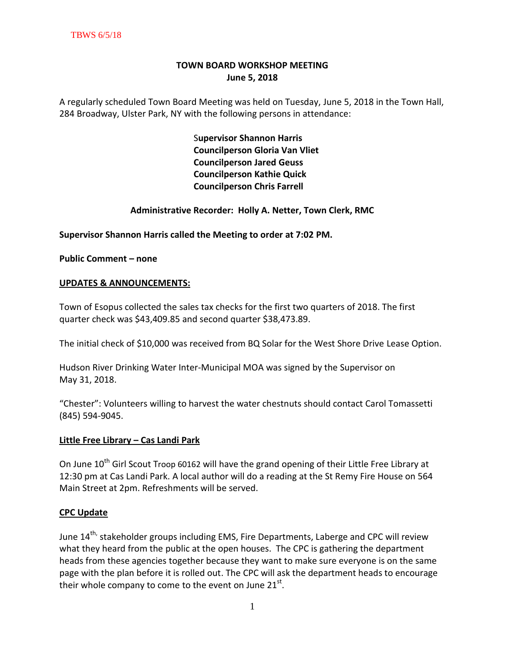# **TOWN BOARD WORKSHOP MEETING June 5, 2018**

A regularly scheduled Town Board Meeting was held on Tuesday, June 5, 2018 in the Town Hall, 284 Broadway, Ulster Park, NY with the following persons in attendance:

> S**upervisor Shannon Harris Councilperson Gloria Van Vliet Councilperson Jared Geuss Councilperson Kathie Quick Councilperson Chris Farrell**

## **Administrative Recorder: Holly A. Netter, Town Clerk, RMC**

**Supervisor Shannon Harris called the Meeting to order at 7:02 PM.** 

**Public Comment – none**

#### **UPDATES & ANNOUNCEMENTS:**

Town of Esopus collected the sales tax checks for the first two quarters of 2018. The first quarter check was \$43,409.85 and second quarter \$38,473.89.

The initial check of \$10,000 was received from BQ Solar for the West Shore Drive Lease Option.

Hudson River Drinking Water Inter-Municipal MOA was signed by the Supervisor on May 31, 2018.

"Chester": Volunteers willing to harvest the water chestnuts should contact Carol Tomassetti (845) 594-9045.

#### **Little Free Library – Cas Landi Park**

On June 10<sup>th</sup> Girl Scout Troop 60162 will have the grand opening of their Little Free Library at 12:30 pm at Cas Landi Park. A local author will do a reading at the St Remy Fire House on 564 Main Street at 2pm. Refreshments will be served.

#### **CPC Update**

June 14<sup>th,</sup> stakeholder groups including EMS, Fire Departments, Laberge and CPC will review what they heard from the public at the open houses. The CPC is gathering the department heads from these agencies together because they want to make sure everyone is on the same page with the plan before it is rolled out. The CPC will ask the department heads to encourage their whole company to come to the event on June 21<sup>st</sup>.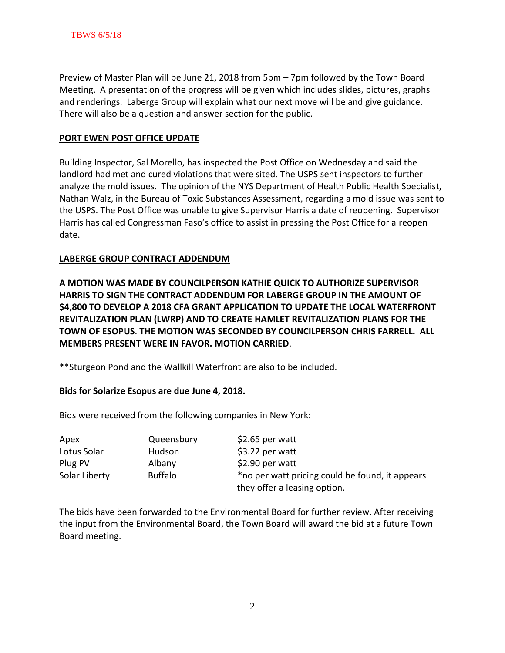Preview of Master Plan will be June 21, 2018 from 5pm – 7pm followed by the Town Board Meeting. A presentation of the progress will be given which includes slides, pictures, graphs and renderings. Laberge Group will explain what our next move will be and give guidance. There will also be a question and answer section for the public.

## **PORT EWEN POST OFFICE UPDATE**

Building Inspector, Sal Morello, has inspected the Post Office on Wednesday and said the landlord had met and cured violations that were sited. The USPS sent inspectors to further analyze the mold issues. The opinion of the NYS Department of Health Public Health Specialist, Nathan Walz, in the Bureau of Toxic Substances Assessment, regarding a mold issue was sent to the USPS. The Post Office was unable to give Supervisor Harris a date of reopening. Supervisor Harris has called Congressman Faso's office to assist in pressing the Post Office for a reopen date.

#### **LABERGE GROUP CONTRACT ADDENDUM**

**A MOTION WAS MADE BY COUNCILPERSON KATHIE QUICK TO AUTHORIZE SUPERVISOR HARRIS TO SIGN THE CONTRACT ADDENDUM FOR LABERGE GROUP IN THE AMOUNT OF \$4,800 TO DEVELOP A 2018 CFA GRANT APPLICATION TO UPDATE THE LOCAL WATERFRONT REVITALIZATION PLAN (LWRP) AND TO CREATE HAMLET REVITALIZATION PLANS FOR THE TOWN OF ESOPUS**. **THE MOTION WAS SECONDED BY COUNCILPERSON CHRIS FARRELL. ALL MEMBERS PRESENT WERE IN FAVOR. MOTION CARRIED**.

\*\*Sturgeon Pond and the Wallkill Waterfront are also to be included.

#### **Bids for Solarize Esopus are due June 4, 2018.**

Bids were received from the following companies in New York:

| Apex          | Queensbury     | \$2.65 per watt                                 |
|---------------|----------------|-------------------------------------------------|
| Lotus Solar   | Hudson         | \$3.22 per watt                                 |
| Plug PV       | Albany         | \$2.90 per watt                                 |
| Solar Liberty | <b>Buffalo</b> | *no per watt pricing could be found, it appears |
|               |                | they offer a leasing option.                    |

The bids have been forwarded to the Environmental Board for further review. After receiving the input from the Environmental Board, the Town Board will award the bid at a future Town Board meeting.